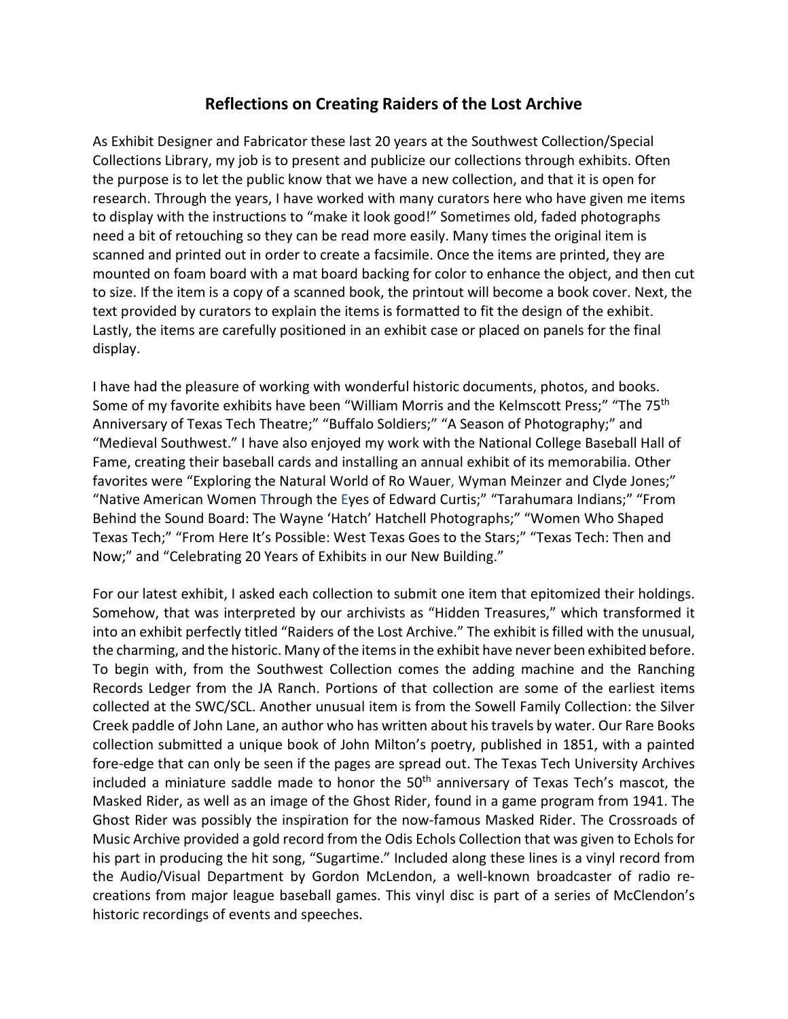## **Reflections on Creating Raiders of the Lost Archive**

As Exhibit Designer and Fabricator these last 20 years at the Southwest Collection/Special Collections Library, my job is to present and publicize our collections through exhibits. Often the purpose is to let the public know that we have a new collection, and that it is open for research. Through the years, I have worked with many curators here who have given me items to display with the instructions to "make it look good!" Sometimes old, faded photographs need a bit of retouching so they can be read more easily. Many times the original item is scanned and printed out in order to create a facsimile. Once the items are printed, they are mounted on foam board with a mat board backing for color to enhance the object, and then cut to size. If the item is a copy of a scanned book, the printout will become a book cover. Next, the text provided by curators to explain the items is formatted to fit the design of the exhibit. Lastly, the items are carefully positioned in an exhibit case or placed on panels for the final display.

I have had the pleasure of working with wonderful historic documents, photos, and books. Some of my favorite exhibits have been "William Morris and the Kelmscott Press;" "The 75<sup>th</sup> Anniversary of Texas Tech Theatre;" "Buffalo Soldiers;" "A Season of Photography;" and "Medieval Southwest." I have also enjoyed my work with the National College Baseball Hall of Fame, creating their baseball cards and installing an annual exhibit of its memorabilia. Other favorites were "Exploring the Natural World of Ro Wauer, Wyman Meinzer and Clyde Jones;" "Native American Women Through the Eyes of Edward Curtis;" "Tarahumara Indians;" "From Behind the Sound Board: The Wayne 'Hatch' Hatchell Photographs;" "Women Who Shaped Texas Tech;" "From Here It's Possible: West Texas Goes to the Stars;" "Texas Tech: Then and Now;" and "Celebrating 20 Years of Exhibits in our New Building."

For our latest exhibit, I asked each collection to submit one item that epitomized their holdings. Somehow, that was interpreted by our archivists as "Hidden Treasures," which transformed it into an exhibit perfectly titled "Raiders of the Lost Archive." The exhibit is filled with the unusual, the charming, and the historic. Many of the items in the exhibit have never been exhibited before. To begin with, from the Southwest Collection comes the adding machine and the Ranching Records Ledger from the JA Ranch. Portions of that collection are some of the earliest items collected at the SWC/SCL. Another unusual item is from the Sowell Family Collection: the Silver Creek paddle of John Lane, an author who has written about his travels by water. Our Rare Books collection submitted a unique book of John Milton's poetry, published in 1851, with a painted fore-edge that can only be seen if the pages are spread out. The Texas Tech University Archives included a miniature saddle made to honor the  $50<sup>th</sup>$  anniversary of Texas Tech's mascot, the Masked Rider, as well as an image of the Ghost Rider, found in a game program from 1941. The Ghost Rider was possibly the inspiration for the now-famous Masked Rider. The Crossroads of Music Archive provided a gold record from the Odis Echols Collection that was given to Echols for his part in producing the hit song, "Sugartime." Included along these lines is a vinyl record from the Audio/Visual Department by Gordon McLendon, a well-known broadcaster of radio recreations from major league baseball games. This vinyl disc is part of a series of McClendon's historic recordings of events and speeches.